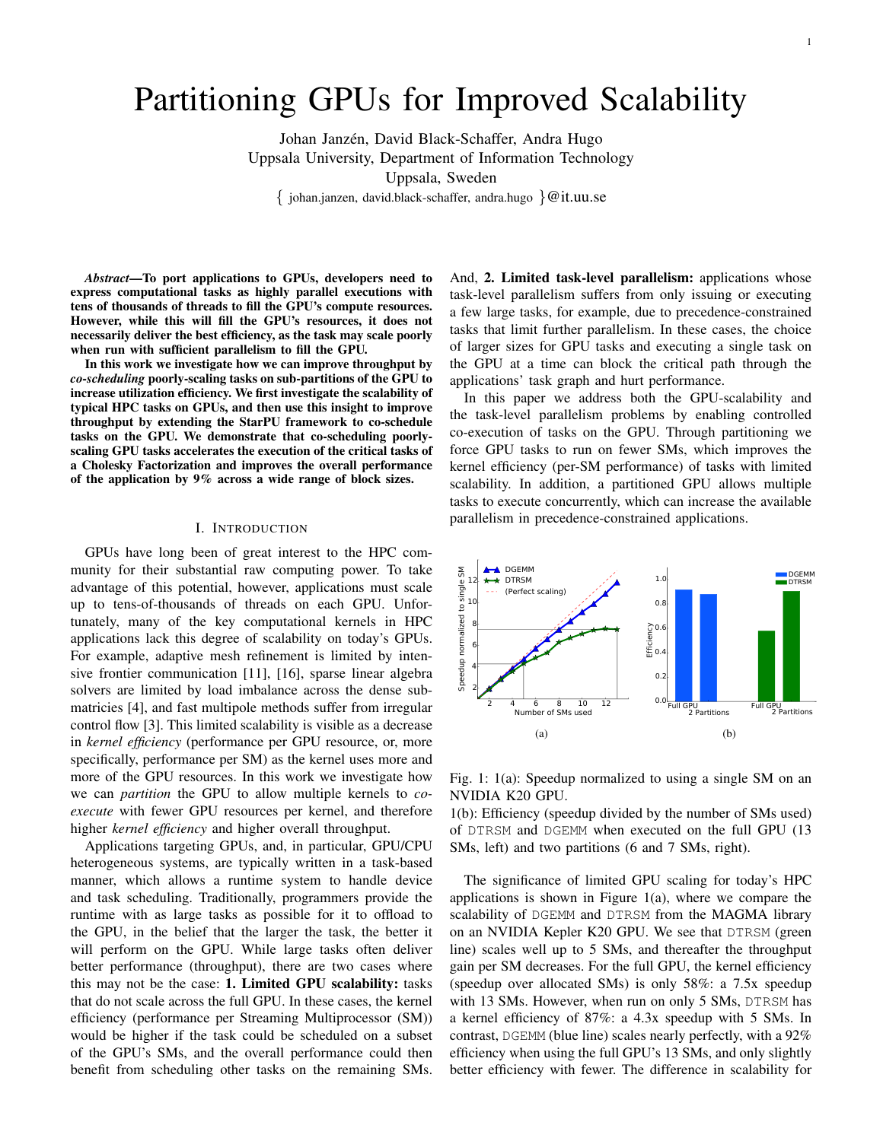# Partitioning GPUs for Improved Scalability

Johan Janzén, David Black-Schaffer, Andra Hugo Uppsala University, Department of Information Technology Uppsala, Sweden  $\{$  johan.janzen, david.black-schaffer, andra.hugo  $\}$ @it.uu.se

*Abstract*—To port applications to GPUs, developers need to express computational tasks as highly parallel executions with tens of thousands of threads to fill the GPU's compute resources. However, while this will fill the GPU's resources, it does not necessarily deliver the best efficiency, as the task may scale poorly when run with sufficient parallelism to fill the GPU.

In this work we investigate how we can improve throughput by *co-scheduling* poorly-scaling tasks on sub-partitions of the GPU to increase utilization efficiency. We first investigate the scalability of typical HPC tasks on GPUs, and then use this insight to improve throughput by extending the StarPU framework to co-schedule tasks on the GPU. We demonstrate that co-scheduling poorlyscaling GPU tasks accelerates the execution of the critical tasks of a Cholesky Factorization and improves the overall performance of the application by 9% across a wide range of block sizes.

#### I. INTRODUCTION

GPUs have long been of great interest to the HPC community for their substantial raw computing power. To take advantage of this potential, however, applications must scale up to tens-of-thousands of threads on each GPU. Unfortunately, many of the key computational kernels in HPC applications lack this degree of scalability on today's GPUs. For example, adaptive mesh refinement is limited by intensive frontier communication [11], [16], sparse linear algebra solvers are limited by load imbalance across the dense submatricies [4], and fast multipole methods suffer from irregular control flow [3]. This limited scalability is visible as a decrease in *kernel efficiency* (performance per GPU resource, or, more specifically, performance per SM) as the kernel uses more and more of the GPU resources. In this work we investigate how we can *partition* the GPU to allow multiple kernels to *coexecute* with fewer GPU resources per kernel, and therefore higher *kernel efficiency* and higher overall throughput.

Applications targeting GPUs, and, in particular, GPU/CPU heterogeneous systems, are typically written in a task-based manner, which allows a runtime system to handle device and task scheduling. Traditionally, programmers provide the runtime with as large tasks as possible for it to offload to the GPU, in the belief that the larger the task, the better it will perform on the GPU. While large tasks often deliver better performance (throughput), there are two cases where this may not be the case: 1. Limited GPU scalability: tasks that do not scale across the full GPU. In these cases, the kernel efficiency (performance per Streaming Multiprocessor (SM)) would be higher if the task could be scheduled on a subset of the GPU's SMs, and the overall performance could then benefit from scheduling other tasks on the remaining SMs.

And, 2. Limited task-level parallelism: applications whose task-level parallelism suffers from only issuing or executing a few large tasks, for example, due to precedence-constrained tasks that limit further parallelism. In these cases, the choice of larger sizes for GPU tasks and executing a single task on the GPU at a time can block the critical path through the applications' task graph and hurt performance.

In this paper we address both the GPU-scalability and the task-level parallelism problems by enabling controlled co-execution of tasks on the GPU. Through partitioning we force GPU tasks to run on fewer SMs, which improves the kernel efficiency (per-SM performance) of tasks with limited scalability. In addition, a partitioned GPU allows multiple tasks to execute concurrently, which can increase the available parallelism in precedence-constrained applications.



Fig. 1: 1(a): Speedup normalized to using a single SM on an NVIDIA K20 GPU.

1(b): Efficiency (speedup divided by the number of SMs used) of DTRSM and DGEMM when executed on the full GPU (13 SMs, left) and two partitions (6 and 7 SMs, right).

The significance of limited GPU scaling for today's HPC applications is shown in Figure 1(a), where we compare the scalability of DGEMM and DTRSM from the MAGMA library on an NVIDIA Kepler K20 GPU. We see that DTRSM (green line) scales well up to 5 SMs, and thereafter the throughput gain per SM decreases. For the full GPU, the kernel efficiency (speedup over allocated SMs) is only 58%: a 7.5x speedup with 13 SMs. However, when run on only 5 SMs, DTRSM has a kernel efficiency of 87%: a 4.3x speedup with 5 SMs. In contrast, DGEMM (blue line) scales nearly perfectly, with a 92% efficiency when using the full GPU's 13 SMs, and only slightly better efficiency with fewer. The difference in scalability for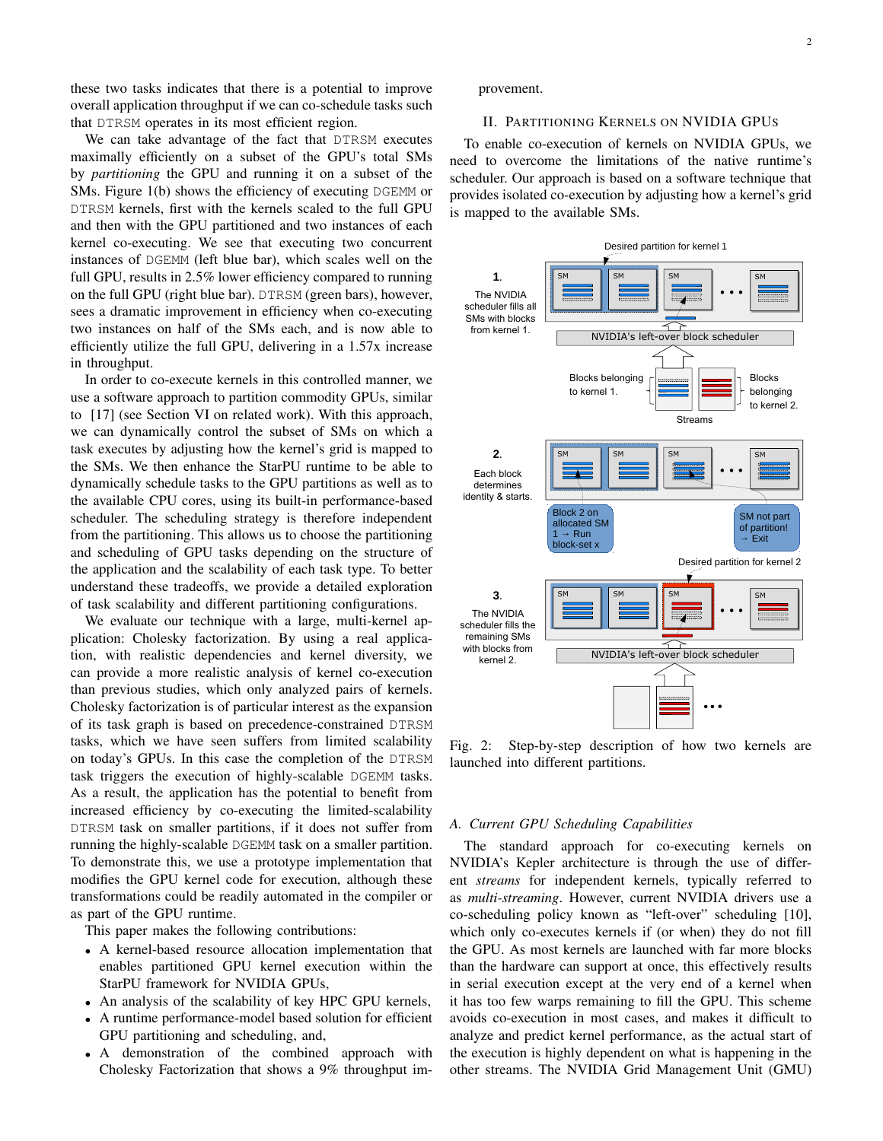these two tasks indicates that there is a potential to improve overall application throughput if we can co-schedule tasks such that DTRSM operates in its most efficient region.

We can take advantage of the fact that DTRSM executes maximally efficiently on a subset of the GPU's total SMs by *partitioning* the GPU and running it on a subset of the SMs. Figure 1(b) shows the efficiency of executing DGEMM or DTRSM kernels, first with the kernels scaled to the full GPU and then with the GPU partitioned and two instances of each kernel co-executing. We see that executing two concurrent instances of DGEMM (left blue bar), which scales well on the full GPU, results in 2.5% lower efficiency compared to running on the full GPU (right blue bar). DTRSM (green bars), however, sees a dramatic improvement in efficiency when co-executing two instances on half of the SMs each, and is now able to efficiently utilize the full GPU, delivering in a 1.57x increase in throughput.

In order to co-execute kernels in this controlled manner, we use a software approach to partition commodity GPUs, similar to [17] (see Section VI on related work). With this approach, we can dynamically control the subset of SMs on which a task executes by adjusting how the kernel's grid is mapped to the SMs. We then enhance the StarPU runtime to be able to dynamically schedule tasks to the GPU partitions as well as to the available CPU cores, using its built-in performance-based scheduler. The scheduling strategy is therefore independent from the partitioning. This allows us to choose the partitioning and scheduling of GPU tasks depending on the structure of the application and the scalability of each task type. To better understand these tradeoffs, we provide a detailed exploration of task scalability and different partitioning configurations.

We evaluate our technique with a large, multi-kernel application: Cholesky factorization. By using a real application, with realistic dependencies and kernel diversity, we can provide a more realistic analysis of kernel co-execution than previous studies, which only analyzed pairs of kernels. Cholesky factorization is of particular interest as the expansion of its task graph is based on precedence-constrained DTRSM tasks, which we have seen suffers from limited scalability on today's GPUs. In this case the completion of the DTRSM task triggers the execution of highly-scalable DGEMM tasks. As a result, the application has the potential to benefit from increased efficiency by co-executing the limited-scalability DTRSM task on smaller partitions, if it does not suffer from running the highly-scalable DGEMM task on a smaller partition. To demonstrate this, we use a prototype implementation that modifies the GPU kernel code for execution, although these transformations could be readily automated in the compiler or as part of the GPU runtime.

This paper makes the following contributions:

- A kernel-based resource allocation implementation that enables partitioned GPU kernel execution within the StarPU framework for NVIDIA GPUs,
- An analysis of the scalability of key HPC GPU kernels,
- A runtime performance-model based solution for efficient GPU partitioning and scheduling, and,
- A demonstration of the combined approach with Cholesky Factorization that shows a 9% throughput im-

provement.

## II. PARTITIONING KERNELS ON NVIDIA GPUS

To enable co-execution of kernels on NVIDIA GPUs, we need to overcome the limitations of the native runtime's scheduler. Our approach is based on a software technique that provides isolated co-execution by adjusting how a kernel's grid is mapped to the available SMs.



Fig. 2: Step-by-step description of how two kernels are launched into different partitions.

## *A. Current GPU Scheduling Capabilities*

The standard approach for co-executing kernels on NVIDIA's Kepler architecture is through the use of different *streams* for independent kernels, typically referred to as *multi-streaming*. However, current NVIDIA drivers use a co-scheduling policy known as "left-over" scheduling [10], which only co-executes kernels if (or when) they do not fill the GPU. As most kernels are launched with far more blocks than the hardware can support at once, this effectively results in serial execution except at the very end of a kernel when it has too few warps remaining to fill the GPU. This scheme avoids co-execution in most cases, and makes it difficult to analyze and predict kernel performance, as the actual start of the execution is highly dependent on what is happening in the other streams. The NVIDIA Grid Management Unit (GMU)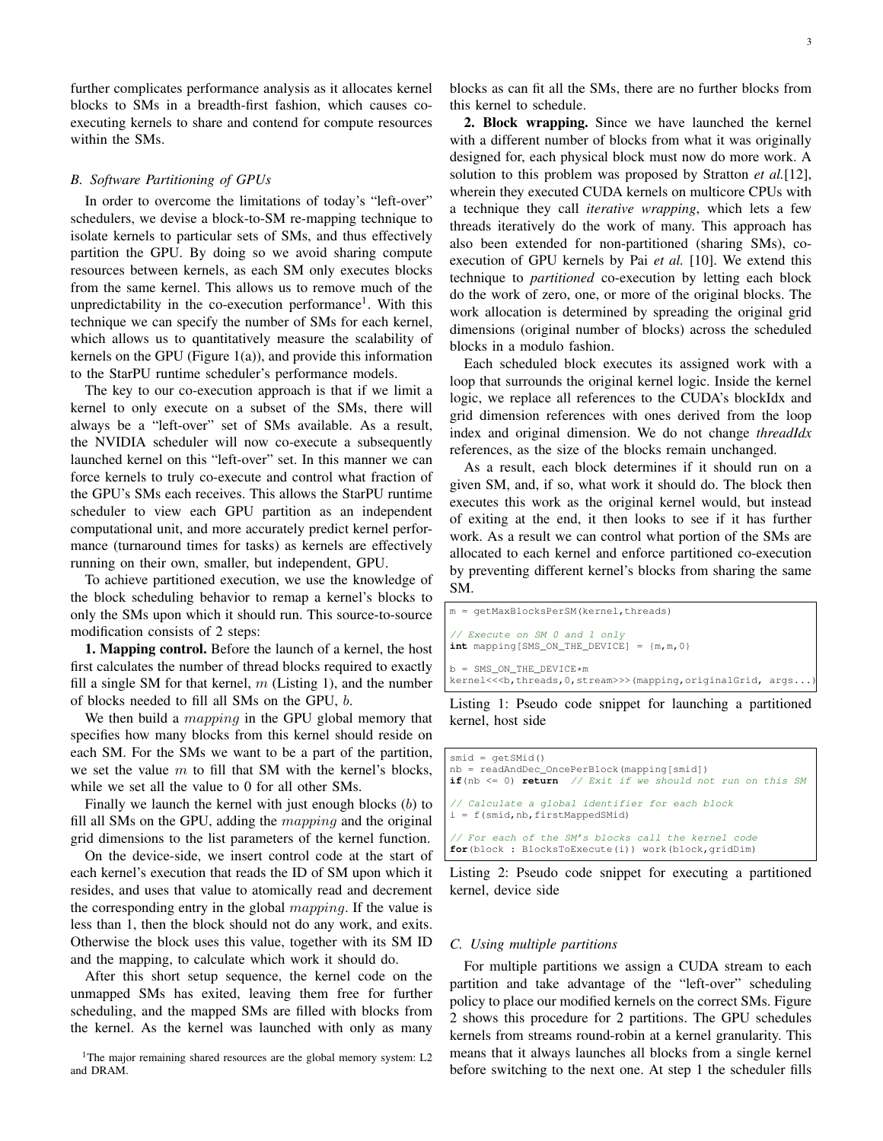further complicates performance analysis as it allocates kernel blocks to SMs in a breadth-first fashion, which causes coexecuting kernels to share and contend for compute resources within the SMs.

#### *B. Software Partitioning of GPUs*

In order to overcome the limitations of today's "left-over" schedulers, we devise a block-to-SM re-mapping technique to isolate kernels to particular sets of SMs, and thus effectively partition the GPU. By doing so we avoid sharing compute resources between kernels, as each SM only executes blocks from the same kernel. This allows us to remove much of the unpredictability in the co-execution performance<sup>1</sup>. With this technique we can specify the number of SMs for each kernel, which allows us to quantitatively measure the scalability of kernels on the GPU (Figure  $1(a)$ ), and provide this information to the StarPU runtime scheduler's performance models.

The key to our co-execution approach is that if we limit a kernel to only execute on a subset of the SMs, there will always be a "left-over" set of SMs available. As a result, the NVIDIA scheduler will now co-execute a subsequently launched kernel on this "left-over" set. In this manner we can force kernels to truly co-execute and control what fraction of the GPU's SMs each receives. This allows the StarPU runtime scheduler to view each GPU partition as an independent computational unit, and more accurately predict kernel performance (turnaround times for tasks) as kernels are effectively running on their own, smaller, but independent, GPU.

To achieve partitioned execution, we use the knowledge of the block scheduling behavior to remap a kernel's blocks to only the SMs upon which it should run. This source-to-source modification consists of 2 steps:

1. Mapping control. Before the launch of a kernel, the host first calculates the number of thread blocks required to exactly fill a single SM for that kernel,  $m$  (Listing 1), and the number of blocks needed to fill all SMs on the GPU, b.

We then build a *mapping* in the GPU global memory that specifies how many blocks from this kernel should reside on each SM. For the SMs we want to be a part of the partition, we set the value  $m$  to fill that SM with the kernel's blocks, while we set all the value to 0 for all other SMs.

Finally we launch the kernel with just enough blocks  $(b)$  to fill all SMs on the GPU, adding the  $mapping$  and the original grid dimensions to the list parameters of the kernel function.

On the device-side, we insert control code at the start of each kernel's execution that reads the ID of SM upon which it resides, and uses that value to atomically read and decrement the corresponding entry in the global  $mapping$ . If the value is less than 1, then the block should not do any work, and exits. Otherwise the block uses this value, together with its SM ID and the mapping, to calculate which work it should do.

After this short setup sequence, the kernel code on the unmapped SMs has exited, leaving them free for further scheduling, and the mapped SMs are filled with blocks from the kernel. As the kernel was launched with only as many

<sup>1</sup>The major remaining shared resources are the global memory system: L2 and DRAM.

blocks as can fit all the SMs, there are no further blocks from this kernel to schedule.

2. Block wrapping. Since we have launched the kernel with a different number of blocks from what it was originally designed for, each physical block must now do more work. A solution to this problem was proposed by Stratton *et al.*[12], wherein they executed CUDA kernels on multicore CPUs with a technique they call *iterative wrapping*, which lets a few threads iteratively do the work of many. This approach has also been extended for non-partitioned (sharing SMs), coexecution of GPU kernels by Pai *et al.* [10]. We extend this technique to *partitioned* co-execution by letting each block do the work of zero, one, or more of the original blocks. The work allocation is determined by spreading the original grid dimensions (original number of blocks) across the scheduled blocks in a modulo fashion.

Each scheduled block executes its assigned work with a loop that surrounds the original kernel logic. Inside the kernel logic, we replace all references to the CUDA's blockIdx and grid dimension references with ones derived from the loop index and original dimension. We do not change *threadIdx* references, as the size of the blocks remain unchanged.

As a result, each block determines if it should run on a given SM, and, if so, what work it should do. The block then executes this work as the original kernel would, but instead of exiting at the end, it then looks to see if it has further work. As a result we can control what portion of the SMs are allocated to each kernel and enforce partitioned co-execution by preventing different kernel's blocks from sharing the same SM.

```
m = getMaxBlocksPerSM(kernel,threads)
// Execute on SM 0 and 1 only
int mapping [<i>SMS</i> ON THE DEVICE] = {m,m,0}b = SMS_ON_THE_DEVICE*m
kernel<<<br/>b,threads,0,stream>>>(mapping,originalGrid, args..
```
Listing 1: Pseudo code snippet for launching a partitioned kernel, host side

```
smid = getSMid()
nb = readAndDec_OncePerBlock(mapping[smid])
if(nb <= 0) return // Exit if we should not run on this SM
// Calculate a global identifier for each block
i = f(smid, nb, firstMappedSMid)
 // For each of the SM's blocks call the kernel code
for(block : BlocksToExecute(i)) work(block,gridDim)
```

```
Listing 2: Pseudo code snippet for executing a partitioned
kernel, device side
```
## *C. Using multiple partitions*

For multiple partitions we assign a CUDA stream to each partition and take advantage of the "left-over" scheduling policy to place our modified kernels on the correct SMs. Figure 2 shows this procedure for 2 partitions. The GPU schedules kernels from streams round-robin at a kernel granularity. This means that it always launches all blocks from a single kernel before switching to the next one. At step 1 the scheduler fills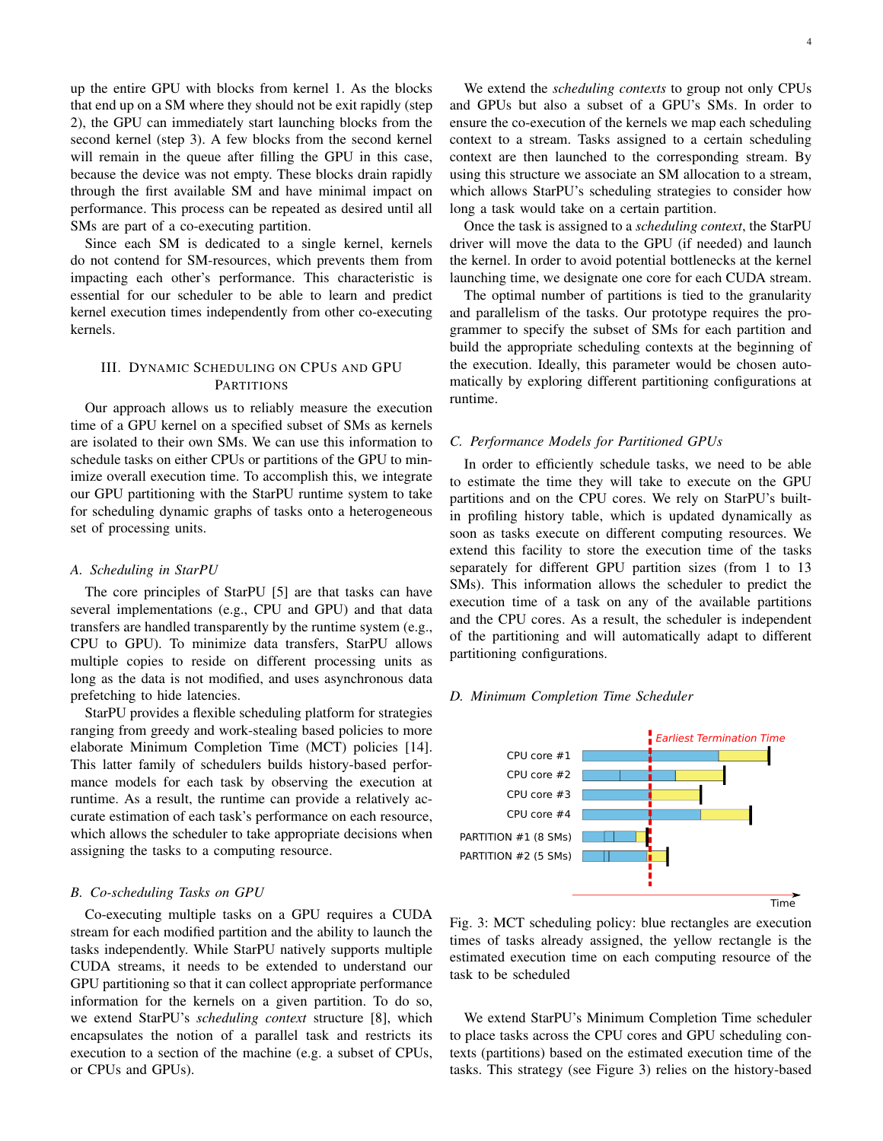up the entire GPU with blocks from kernel 1. As the blocks that end up on a SM where they should not be exit rapidly (step 2), the GPU can immediately start launching blocks from the second kernel (step 3). A few blocks from the second kernel will remain in the queue after filling the GPU in this case, because the device was not empty. These blocks drain rapidly through the first available SM and have minimal impact on performance. This process can be repeated as desired until all SMs are part of a co-executing partition.

Since each SM is dedicated to a single kernel, kernels do not contend for SM-resources, which prevents them from impacting each other's performance. This characteristic is essential for our scheduler to be able to learn and predict kernel execution times independently from other co-executing kernels.

## III. DYNAMIC SCHEDULING ON CPUS AND GPU **PARTITIONS**

Our approach allows us to reliably measure the execution time of a GPU kernel on a specified subset of SMs as kernels are isolated to their own SMs. We can use this information to schedule tasks on either CPUs or partitions of the GPU to minimize overall execution time. To accomplish this, we integrate our GPU partitioning with the StarPU runtime system to take for scheduling dynamic graphs of tasks onto a heterogeneous set of processing units.

## *A. Scheduling in StarPU*

The core principles of StarPU [5] are that tasks can have several implementations (e.g., CPU and GPU) and that data transfers are handled transparently by the runtime system (e.g., CPU to GPU). To minimize data transfers, StarPU allows multiple copies to reside on different processing units as long as the data is not modified, and uses asynchronous data prefetching to hide latencies.

StarPU provides a flexible scheduling platform for strategies ranging from greedy and work-stealing based policies to more elaborate Minimum Completion Time (MCT) policies [14]. This latter family of schedulers builds history-based performance models for each task by observing the execution at runtime. As a result, the runtime can provide a relatively accurate estimation of each task's performance on each resource, which allows the scheduler to take appropriate decisions when assigning the tasks to a computing resource.

#### *B. Co-scheduling Tasks on GPU*

Co-executing multiple tasks on a GPU requires a CUDA stream for each modified partition and the ability to launch the tasks independently. While StarPU natively supports multiple CUDA streams, it needs to be extended to understand our GPU partitioning so that it can collect appropriate performance information for the kernels on a given partition. To do so, we extend StarPU's *scheduling context* structure [8], which encapsulates the notion of a parallel task and restricts its execution to a section of the machine (e.g. a subset of CPUs, or CPUs and GPUs).

We extend the *scheduling contexts* to group not only CPUs and GPUs but also a subset of a GPU's SMs. In order to ensure the co-execution of the kernels we map each scheduling context to a stream. Tasks assigned to a certain scheduling context are then launched to the corresponding stream. By using this structure we associate an SM allocation to a stream, which allows StarPU's scheduling strategies to consider how long a task would take on a certain partition.

Once the task is assigned to a *scheduling context*, the StarPU driver will move the data to the GPU (if needed) and launch the kernel. In order to avoid potential bottlenecks at the kernel launching time, we designate one core for each CUDA stream.

The optimal number of partitions is tied to the granularity and parallelism of the tasks. Our prototype requires the programmer to specify the subset of SMs for each partition and build the appropriate scheduling contexts at the beginning of the execution. Ideally, this parameter would be chosen automatically by exploring different partitioning configurations at runtime.

## *C. Performance Models for Partitioned GPUs*

In order to efficiently schedule tasks, we need to be able to estimate the time they will take to execute on the GPU partitions and on the CPU cores. We rely on StarPU's builtin profiling history table, which is updated dynamically as soon as tasks execute on different computing resources. We extend this facility to store the execution time of the tasks separately for different GPU partition sizes (from 1 to 13 SMs). This information allows the scheduler to predict the execution time of a task on any of the available partitions and the CPU cores. As a result, the scheduler is independent of the partitioning and will automatically adapt to different partitioning configurations.

#### *D. Minimum Completion Time Scheduler*



Fig. 3: MCT scheduling policy: blue rectangles are execution times of tasks already assigned, the yellow rectangle is the estimated execution time on each computing resource of the task to be scheduled

We extend StarPU's Minimum Completion Time scheduler to place tasks across the CPU cores and GPU scheduling contexts (partitions) based on the estimated execution time of the tasks. This strategy (see Figure 3) relies on the history-based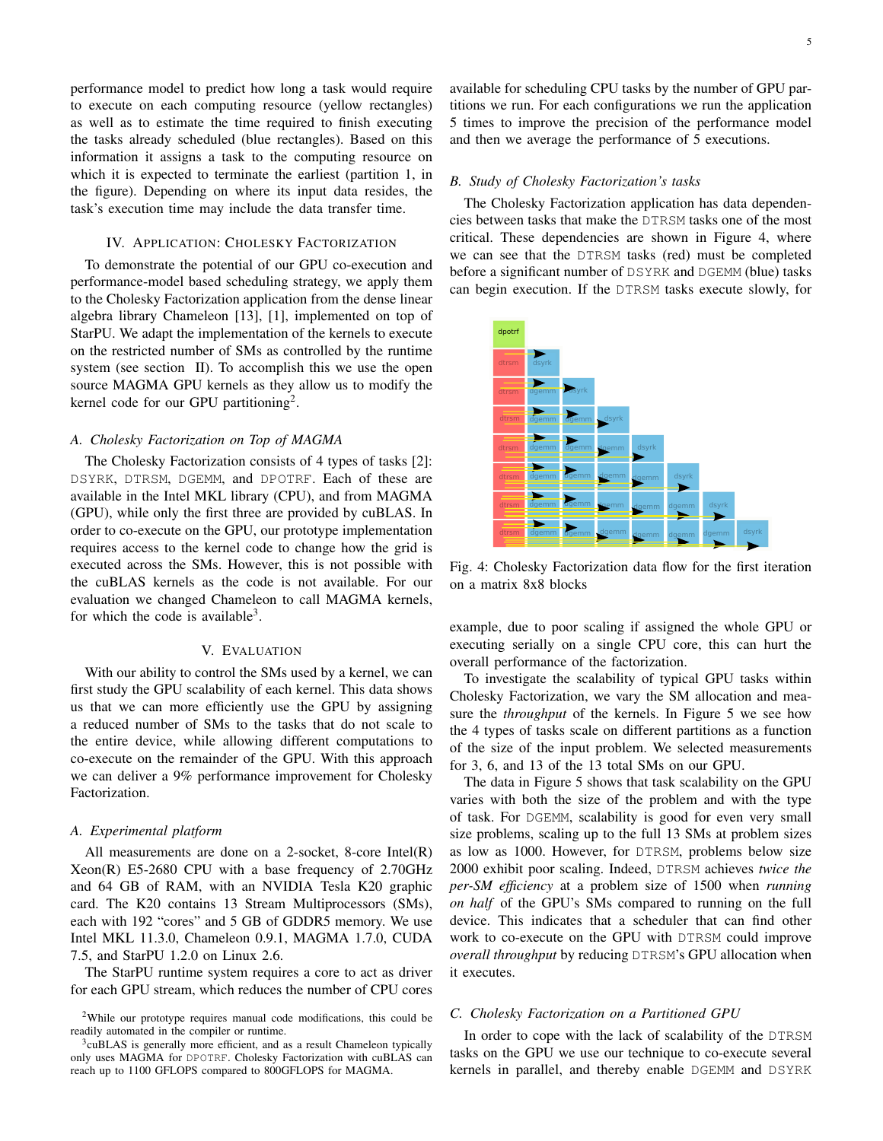performance model to predict how long a task would require to execute on each computing resource (yellow rectangles) as well as to estimate the time required to finish executing the tasks already scheduled (blue rectangles). Based on this information it assigns a task to the computing resource on which it is expected to terminate the earliest (partition 1, in the figure). Depending on where its input data resides, the task's execution time may include the data transfer time.

## IV. APPLICATION: CHOLESKY FACTORIZATION

To demonstrate the potential of our GPU co-execution and performance-model based scheduling strategy, we apply them to the Cholesky Factorization application from the dense linear algebra library Chameleon [13], [1], implemented on top of StarPU. We adapt the implementation of the kernels to execute on the restricted number of SMs as controlled by the runtime system (see section II). To accomplish this we use the open source MAGMA GPU kernels as they allow us to modify the kernel code for our GPU partitioning<sup>2</sup>.

#### *A. Cholesky Factorization on Top of MAGMA*

The Cholesky Factorization consists of 4 types of tasks [2]: DSYRK, DTRSM, DGEMM, and DPOTRF. Each of these are available in the Intel MKL library (CPU), and from MAGMA (GPU), while only the first three are provided by cuBLAS. In order to co-execute on the GPU, our prototype implementation requires access to the kernel code to change how the grid is executed across the SMs. However, this is not possible with the cuBLAS kernels as the code is not available. For our evaluation we changed Chameleon to call MAGMA kernels, for which the code is available<sup>3</sup>.

## V. EVALUATION

With our ability to control the SMs used by a kernel, we can first study the GPU scalability of each kernel. This data shows us that we can more efficiently use the GPU by assigning a reduced number of SMs to the tasks that do not scale to the entire device, while allowing different computations to co-execute on the remainder of the GPU. With this approach we can deliver a 9% performance improvement for Cholesky Factorization.

## *A. Experimental platform*

All measurements are done on a 2-socket, 8-core Intel(R) Xeon(R) E5-2680 CPU with a base frequency of 2.70GHz and 64 GB of RAM, with an NVIDIA Tesla K20 graphic card. The K20 contains 13 Stream Multiprocessors (SMs), each with 192 "cores" and 5 GB of GDDR5 memory. We use Intel MKL 11.3.0, Chameleon 0.9.1, MAGMA 1.7.0, CUDA 7.5, and StarPU 1.2.0 on Linux 2.6.

The StarPU runtime system requires a core to act as driver for each GPU stream, which reduces the number of CPU cores

<sup>2</sup>While our prototype requires manual code modifications, this could be readily automated in the compiler or runtime.

available for scheduling CPU tasks by the number of GPU partitions we run. For each configurations we run the application 5 times to improve the precision of the performance model and then we average the performance of 5 executions.

## *B. Study of Cholesky Factorization's tasks*

The Cholesky Factorization application has data dependencies between tasks that make the DTRSM tasks one of the most critical. These dependencies are shown in Figure 4, where we can see that the DTRSM tasks (red) must be completed before a significant number of DSYRK and DGEMM (blue) tasks can begin execution. If the DTRSM tasks execute slowly, for



Fig. 4: Cholesky Factorization data flow for the first iteration on a matrix 8x8 blocks

example, due to poor scaling if assigned the whole GPU or executing serially on a single CPU core, this can hurt the overall performance of the factorization.

To investigate the scalability of typical GPU tasks within Cholesky Factorization, we vary the SM allocation and measure the *throughput* of the kernels. In Figure 5 we see how the 4 types of tasks scale on different partitions as a function of the size of the input problem. We selected measurements for 3, 6, and 13 of the 13 total SMs on our GPU.

The data in Figure 5 shows that task scalability on the GPU varies with both the size of the problem and with the type of task. For DGEMM, scalability is good for even very small size problems, scaling up to the full 13 SMs at problem sizes as low as 1000. However, for DTRSM, problems below size 2000 exhibit poor scaling. Indeed, DTRSM achieves *twice the per-SM efficiency* at a problem size of 1500 when *running on half* of the GPU's SMs compared to running on the full device. This indicates that a scheduler that can find other work to co-execute on the GPU with DTRSM could improve *overall throughput* by reducing DTRSM's GPU allocation when it executes.

#### *C. Cholesky Factorization on a Partitioned GPU*

In order to cope with the lack of scalability of the DTRSM tasks on the GPU we use our technique to co-execute several kernels in parallel, and thereby enable DGEMM and DSYRK

<sup>&</sup>lt;sup>3</sup>cuBLAS is generally more efficient, and as a result Chameleon typically only uses MAGMA for DPOTRF. Cholesky Factorization with cuBLAS can reach up to 1100 GFLOPS compared to 800GFLOPS for MAGMA.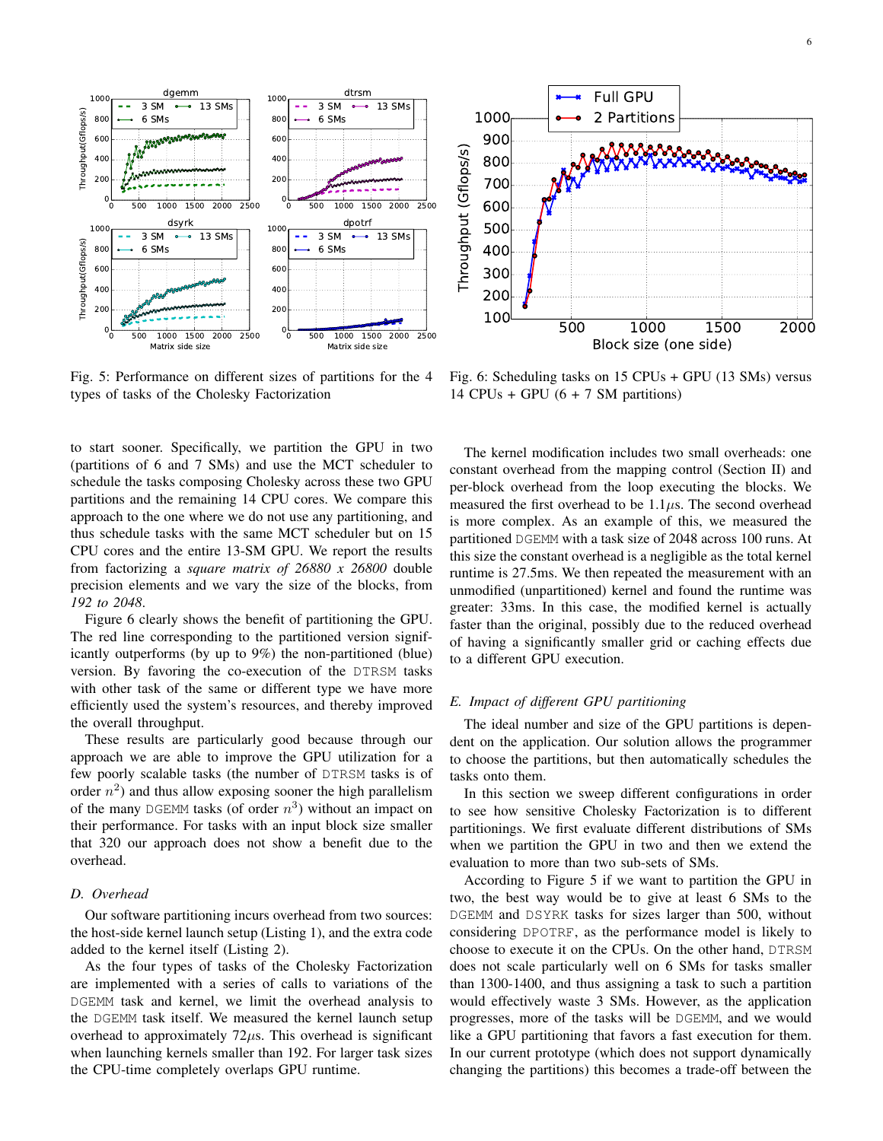

Fig. 5: Performance on different sizes of partitions for the 4 types of tasks of the Cholesky Factorization

to start sooner. Specifically, we partition the GPU in two (partitions of 6 and 7 SMs) and use the MCT scheduler to schedule the tasks composing Cholesky across these two GPU partitions and the remaining 14 CPU cores. We compare this approach to the one where we do not use any partitioning, and thus schedule tasks with the same MCT scheduler but on 15 CPU cores and the entire 13-SM GPU. We report the results from factorizing a *square matrix of 26880 x 26800* double precision elements and we vary the size of the blocks, from *192 to 2048*.

Figure 6 clearly shows the benefit of partitioning the GPU. The red line corresponding to the partitioned version significantly outperforms (by up to 9%) the non-partitioned (blue) version. By favoring the co-execution of the DTRSM tasks with other task of the same or different type we have more efficiently used the system's resources, and thereby improved the overall throughput.

These results are particularly good because through our approach we are able to improve the GPU utilization for a few poorly scalable tasks (the number of DTRSM tasks is of order  $n^2$ ) and thus allow exposing sooner the high parallelism of the many DGEMM tasks (of order  $n^3$ ) without an impact on their performance. For tasks with an input block size smaller that 320 our approach does not show a benefit due to the overhead.

## *D. Overhead*

Our software partitioning incurs overhead from two sources: the host-side kernel launch setup (Listing 1), and the extra code added to the kernel itself (Listing 2).

As the four types of tasks of the Cholesky Factorization are implemented with a series of calls to variations of the DGEMM task and kernel, we limit the overhead analysis to the DGEMM task itself. We measured the kernel launch setup overhead to approximately  $72\mu s$ . This overhead is significant when launching kernels smaller than 192. For larger task sizes



Fig. 6: Scheduling tasks on 15 CPUs + GPU (13 SMs) versus 14 CPUs + GPU  $(6 + 7)$  SM partitions)

The complete state of the complete state of the complete state of the complete state of the complete state of the completely state of the SPU-time completely overlaps (Fig. 5). Particular, the complete state of the CPU-ti The kernel modification includes two small overheads: one constant overhead from the mapping control (Section II) and per-block overhead from the loop executing the blocks. We measured the first overhead to be  $1.1\mu$ s. The second overhead is more complex. As an example of this, we measured the partitioned DGEMM with a task size of 2048 across 100 runs. At this size the constant overhead is a negligible as the total kernel runtime is 27.5ms. We then repeated the measurement with an unmodified (unpartitioned) kernel and found the runtime was greater: 33ms. In this case, the modified kernel is actually faster than the original, possibly due to the reduced overhead of having a significantly smaller grid or caching effects due to a different GPU execution.

## *E. Impact of different GPU partitioning*

The ideal number and size of the GPU partitions is dependent on the application. Our solution allows the programmer to choose the partitions, but then automatically schedules the tasks onto them.

In this section we sweep different configurations in order to see how sensitive Cholesky Factorization is to different partitionings. We first evaluate different distributions of SMs when we partition the GPU in two and then we extend the evaluation to more than two sub-sets of SMs.

According to Figure 5 if we want to partition the GPU in two, the best way would be to give at least 6 SMs to the DGEMM and DSYRK tasks for sizes larger than 500, without considering DPOTRF, as the performance model is likely to choose to execute it on the CPUs. On the other hand, DTRSM does not scale particularly well on 6 SMs for tasks smaller than 1300-1400, and thus assigning a task to such a partition would effectively waste 3 SMs. However, as the application progresses, more of the tasks will be DGEMM, and we would like a GPU partitioning that favors a fast execution for them. In our current prototype (which does not support dynamically changing the partitions) this becomes a trade-off between the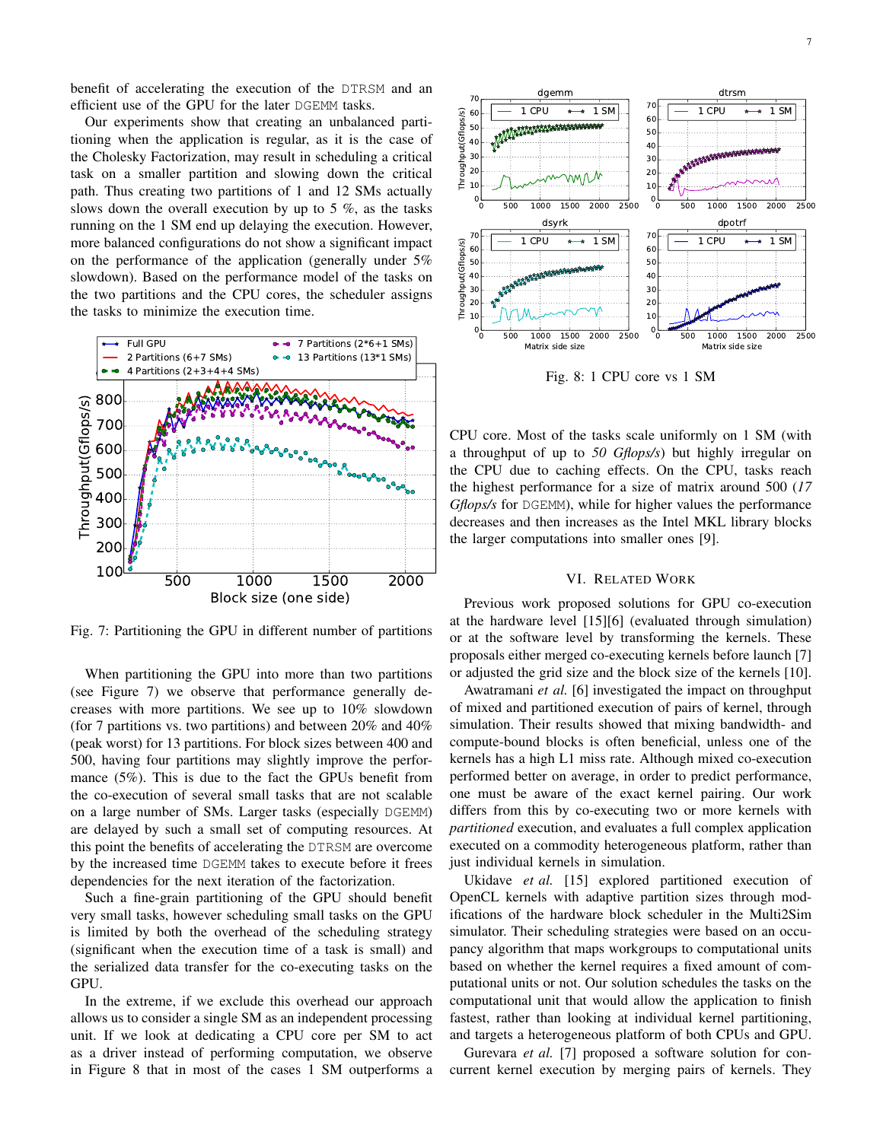benefit of accelerating the execution of the DTRSM and an efficient use of the GPU for the later DGEMM tasks.

Our experiments show that creating an unbalanced partitioning when the application is regular, as it is the case of the Cholesky Factorization, may result in scheduling a critical task on a smaller partition and slowing down the critical path. Thus creating two partitions of 1 and 12 SMs actually slows down the overall execution by up to 5  $\%$ , as the tasks running on the 1 SM end up delaying the execution. However, more balanced configurations do not show a significant impact on the performance of the application (generally under 5% slowdown). Based on the performance model of the tasks on the two partitions and the CPU cores, the scheduler assigns the tasks to minimize the execution time.



Fig. 7: Partitioning the GPU in different number of partitions

When partitioning the GPU into more than two partitions (see Figure 7) we observe that performance generally decreases with more partitions. We see up to 10% slowdown (for 7 partitions vs. two partitions) and between  $20\%$  and  $40\%$ (peak worst) for 13 partitions. For block sizes between 400 and 500, having four partitions may slightly improve the performance (5%). This is due to the fact the GPUs benefit from the co-execution of several small tasks that are not scalable on a large number of SMs. Larger tasks (especially DGEMM) are delayed by such a small set of computing resources. At this point the benefits of accelerating the DTRSM are overcome by the increased time DGEMM takes to execute before it frees dependencies for the next iteration of the factorization.

Such a fine-grain partitioning of the GPU should benefit very small tasks, however scheduling small tasks on the GPU is limited by both the overhead of the scheduling strategy (significant when the execution time of a task is small) and the serialized data transfer for the co-executing tasks on the GPU.

In the extreme, if we exclude this overhead our approach allows us to consider a single SM as an independent processing unit. If we look at dedicating a CPU core per SM to act as a driver instead of performing computation, we observe in Figure 8 that in most of the cases 1 SM outperforms a



Fig. 8: 1 CPU core vs 1 SM

CPU core. Most of the tasks scale uniformly on 1 SM (with a throughput of up to *50 Gflops/s*) but highly irregular on the CPU due to caching effects. On the CPU, tasks reach the highest performance for a size of matrix around 500 (*17 Gflops/s* for DGEMM), while for higher values the performance decreases and then increases as the Intel MKL library blocks the larger computations into smaller ones [9].

# VI. RELATED WORK

Previous work proposed solutions for GPU co-execution at the hardware level [15][6] (evaluated through simulation) or at the software level by transforming the kernels. These proposals either merged co-executing kernels before launch [7] or adjusted the grid size and the block size of the kernels [10].

Awatramani *et al.* [6] investigated the impact on throughput of mixed and partitioned execution of pairs of kernel, through simulation. Their results showed that mixing bandwidth- and compute-bound blocks is often beneficial, unless one of the kernels has a high L1 miss rate. Although mixed co-execution performed better on average, in order to predict performance, one must be aware of the exact kernel pairing. Our work differs from this by co-executing two or more kernels with *partitioned* execution, and evaluates a full complex application executed on a commodity heterogeneous platform, rather than just individual kernels in simulation.

Ukidave *et al.* [15] explored partitioned execution of OpenCL kernels with adaptive partition sizes through modifications of the hardware block scheduler in the Multi2Sim simulator. Their scheduling strategies were based on an occupancy algorithm that maps workgroups to computational units based on whether the kernel requires a fixed amount of computational units or not. Our solution schedules the tasks on the computational unit that would allow the application to finish fastest, rather than looking at individual kernel partitioning, and targets a heterogeneous platform of both CPUs and GPU.

Gurevara *et al.* [7] proposed a software solution for concurrent kernel execution by merging pairs of kernels. They